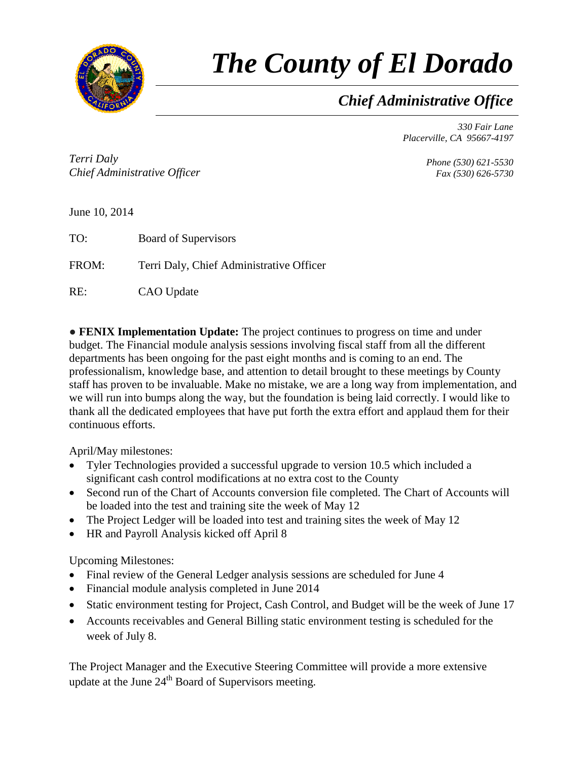

## *The County of El Dorado*

*Chief Administrative Office*

*330 Fair Lane Placerville, CA 95667-4197*

*Terri Daly Chief Administrative Officer*

*Phone (530) 621-5530 Fax (530) 626-5730*

June 10, 2014

TO: Board of Supervisors

FROM: Terri Daly, Chief Administrative Officer

RE: CAO Update

● **FENIX Implementation Update:** The project continues to progress on time and under budget. The Financial module analysis sessions involving fiscal staff from all the different departments has been ongoing for the past eight months and is coming to an end. The professionalism, knowledge base, and attention to detail brought to these meetings by County staff has proven to be invaluable. Make no mistake, we are a long way from implementation, and we will run into bumps along the way, but the foundation is being laid correctly. I would like to thank all the dedicated employees that have put forth the extra effort and applaud them for their continuous efforts.

April/May milestones:

- Tyler Technologies provided a successful upgrade to version 10.5 which included a significant cash control modifications at no extra cost to the County
- Second run of the Chart of Accounts conversion file completed. The Chart of Accounts will be loaded into the test and training site the week of May 12
- The Project Ledger will be loaded into test and training sites the week of May 12
- HR and Payroll Analysis kicked off April 8

Upcoming Milestones:

- Final review of the General Ledger analysis sessions are scheduled for June 4
- Financial module analysis completed in June 2014
- Static environment testing for Project, Cash Control, and Budget will be the week of June 17
- Accounts receivables and General Billing static environment testing is scheduled for the week of July 8.

The Project Manager and the Executive Steering Committee will provide a more extensive update at the June  $24<sup>th</sup>$  Board of Supervisors meeting.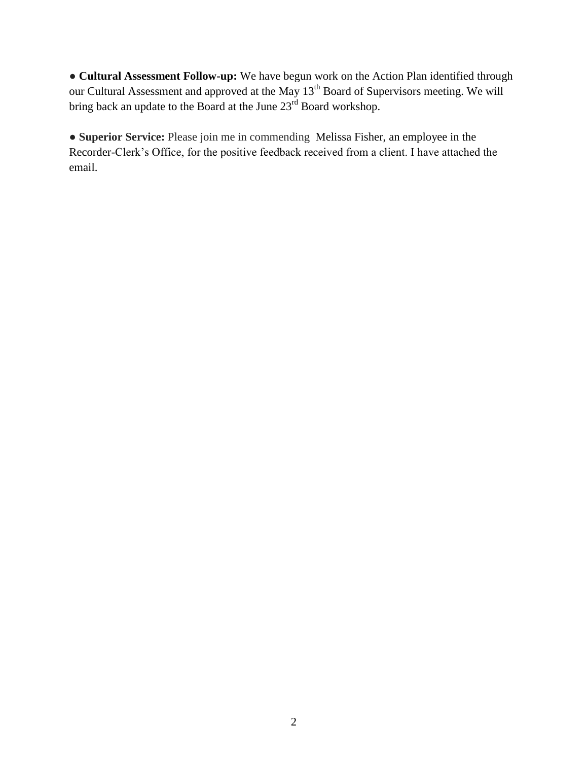● **Cultural Assessment Follow-up:** We have begun work on the Action Plan identified through our Cultural Assessment and approved at the May 13<sup>th</sup> Board of Supervisors meeting. We will bring back an update to the Board at the June 23<sup>rd</sup> Board workshop.

● **Superior Service:** Please join me in commending Melissa Fisher, an employee in the Recorder-Clerk's Office, for the positive feedback received from a client. I have attached the email.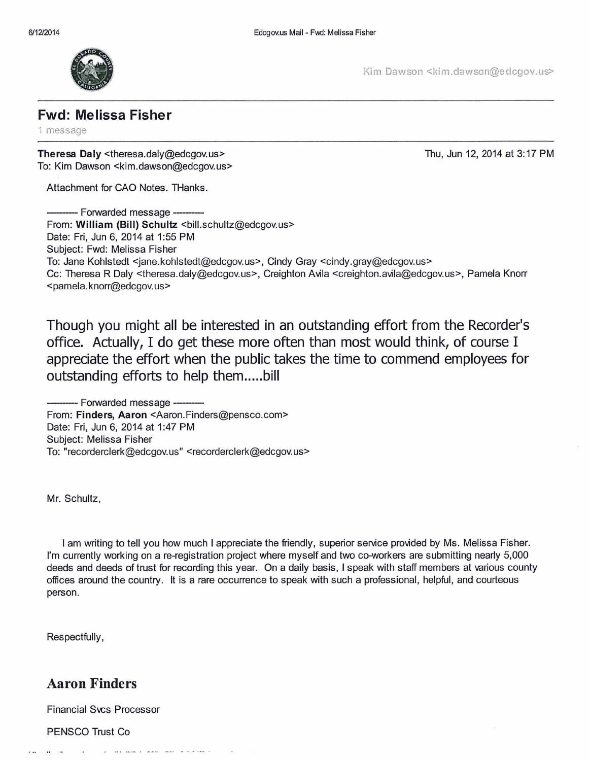

Kim Dawson <kim.dawson@edcgov.us>

1 message

**Theresa Daly** <theresa.daly@edcgov.us> To: Kim Dawson <kim.dawson@edcgov.us> Thu, Jun 12, 2014 at 3:17PM

Attachment for CAO Notes. THanks.<br>---------- Forwarded message ----------<br>From: William (Bill) Schultz chill so From: William (Bill) Schultz <bill.schultz@edcgov.us> Date: Fri, Jun 6, 2014 at 1:55 PM Subject: Fwd: Melissa Fisher To: Jane Kohlstedt <jane.kohlstedt@edcgov.us>, Cindy Gray <cindy.gray@edcgov.us> Cc: Theresa R Daly <theresa.daly@edcgov.us>, Creighton Avila <creighton.avila@edcgov.us>, Pamela Knorr <pamela. knorr@edcgov. us>

**Though you might all be interested in an outstanding effort from the Recorder's office. Actually, I do get these more often than most would think, of course I appreciate the effort when the public takes the time to commend employees for outstanding efforts to help them ..... bill** 

--Forwarded message-- From: **Finders, Aaron** <Aaron.Finders@pensco.com> Date: Fri, Jun 6, 2014 at 1:47 PM Subject: Melissa Fisher To: "recorderclerk@edcgov. us" <recorderclerk@edcgov. us>

Mr. Schultz,

I am writing to tell you how much I appreciate the friendly, superior service provided by Ms. Melissa Fisher. I'm currently working on a re-registration project where myself and two co-workers are submitting nearly 5,000 deeds and deeds of trust for recording this year. On a daily basis, I speak with staff members at various county offices around the country. It is a rare occurrence to speak with such a professional, helpful, and courteous person.

Respectfully,

## **Aaron Finders**

Financial Svcs Processor

PENSCO Trust Co